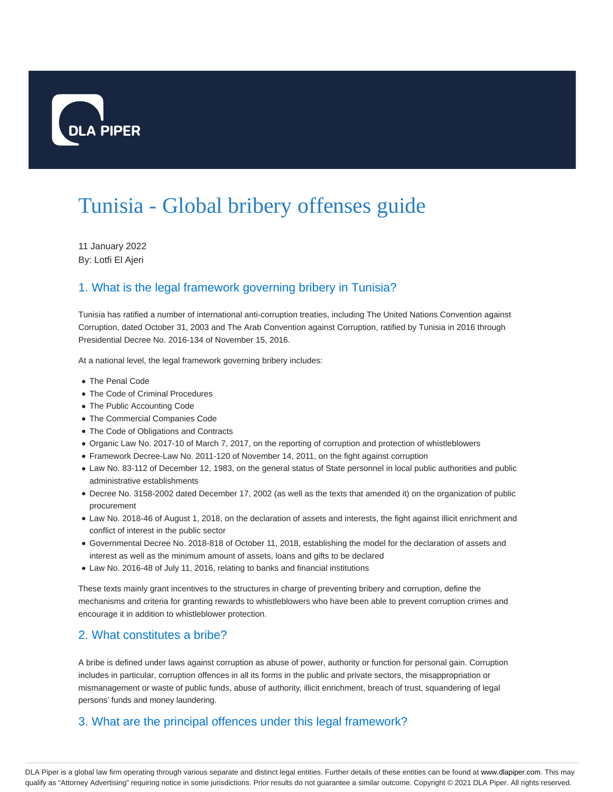

# Tunisia - Global bribery offenses guide

11 January 2022 By: Lotfi El Ajeri

### 1. What is the legal framework governing bribery in Tunisia?

Tunisia has ratified a number of international anti-corruption treaties, including The United Nations Convention against Corruption, dated October 31, 2003 and The Arab Convention against Corruption, ratified by Tunisia in 2016 through Presidential Decree No. 2016-134 of November 15, 2016.

At a national level, the legal framework governing bribery includes:

- The Penal Code
- The Code of Criminal Procedures
- The Public Accounting Code
- The Commercial Companies Code
- The Code of Obligations and Contracts
- Organic Law No. 2017-10 of March 7, 2017, on the reporting of corruption and protection of whistleblowers
- Framework Decree-Law No. 2011-120 of November 14, 2011, on the fight against corruption
- Law No. 83-112 of December 12, 1983, on the general status of State personnel in local public authorities and public administrative establishments
- Decree No. 3158-2002 dated December 17, 2002 (as well as the texts that amended it) on the organization of public procurement
- Law No. 2018-46 of August 1, 2018, on the declaration of assets and interests, the fight against illicit enrichment and conflict of interest in the public sector
- Governmental Decree No. 2018-818 of October 11, 2018, establishing the model for the declaration of assets and interest as well as the minimum amount of assets, loans and gifts to be declared
- Law No. 2016-48 of July 11, 2016, relating to banks and financial institutions

These texts mainly grant incentives to the structures in charge of preventing bribery and corruption, define the mechanisms and criteria for granting rewards to whistleblowers who have been able to prevent corruption crimes and encourage it in addition to whistleblower protection.

#### 2. What constitutes a bribe?

A bribe is defined under laws against corruption as abuse of power, authority or function for personal gain. Corruption includes in particular, corruption offences in all its forms in the public and private sectors, the misappropriation or mismanagement or waste of public funds, abuse of authority, illicit enrichment, breach of trust, squandering of legal persons' funds and money laundering.

#### 3. What are the principal offences under this legal framework?

DLA Piper is a global law firm operating through various separate and distinct legal entities. Further details of these entities can be found at www.dlapiper.com. This may qualify as "Attorney Advertising" requiring notice in some jurisdictions. Prior results do not guarantee a similar outcome. Copyright © 2021 DLA Piper. All rights reserved.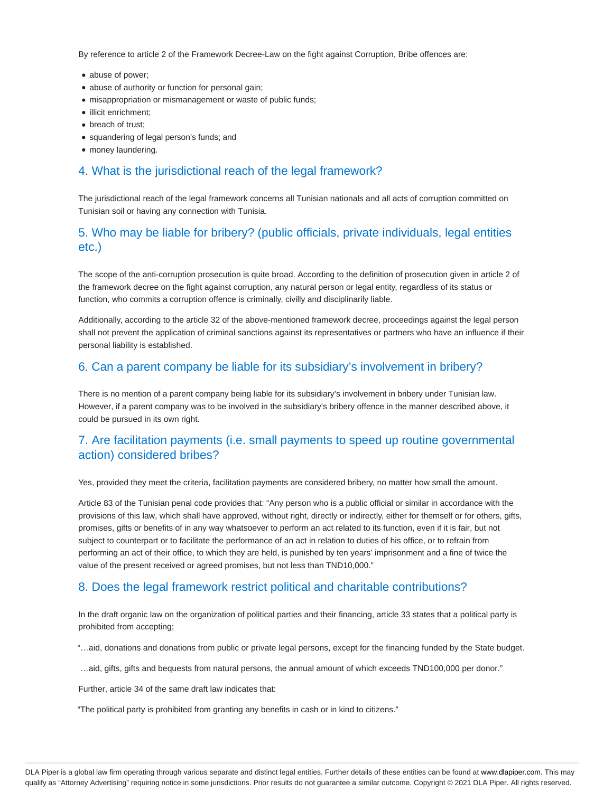By reference to article 2 of the Framework Decree-Law on the fight against Corruption, Bribe offences are:

- abuse of power;
- abuse of authority or function for personal gain;
- misappropriation or mismanagement or waste of public funds;
- illicit enrichment;
- breach of trust;
- squandering of legal person's funds; and
- money laundering.

#### 4. What is the jurisdictional reach of the legal framework?

The jurisdictional reach of the legal framework concerns all Tunisian nationals and all acts of corruption committed on Tunisian soil or having any connection with Tunisia.

#### 5. Who may be liable for bribery? (public officials, private individuals, legal entities etc.)

The scope of the anti-corruption prosecution is quite broad. According to the definition of prosecution given in article 2 of the framework decree on the fight against corruption, any natural person or legal entity, regardless of its status or function, who commits a corruption offence is criminally, civilly and disciplinarily liable.

Additionally, according to the article 32 of the above-mentioned framework decree, proceedings against the legal person shall not prevent the application of criminal sanctions against its representatives or partners who have an influence if their personal liability is established.

#### 6. Can a parent company be liable for its subsidiary's involvement in bribery?

There is no mention of a parent company being liable for its subsidiary's involvement in bribery under Tunisian law. However, if a parent company was to be involved in the subsidiary's bribery offence in the manner described above, it could be pursued in its own right.

#### 7. Are facilitation payments (i.e. small payments to speed up routine governmental action) considered bribes?

Yes, provided they meet the criteria, facilitation payments are considered bribery, no matter how small the amount.

Article 83 of the Tunisian penal code provides that: "Any person who is a public official or similar in accordance with the provisions of this law, which shall have approved, without right, directly or indirectly, either for themself or for others, gifts, promises, gifts or benefits of in any way whatsoever to perform an act related to its function, even if it is fair, but not subject to counterpart or to facilitate the performance of an act in relation to duties of his office, or to refrain from performing an act of their office, to which they are held, is punished by ten years' imprisonment and a fine of twice the value of the present received or agreed promises, but not less than TND10,000."

#### 8. Does the legal framework restrict political and charitable contributions?

In the draft organic law on the organization of political parties and their financing, article 33 states that a political party is prohibited from accepting;

"…aid, donations and donations from public or private legal persons, except for the financing funded by the State budget.

…aid, gifts, gifts and bequests from natural persons, the annual amount of which exceeds TND100,000 per donor."

Further, article 34 of the same draft law indicates that:

"The political party is prohibited from granting any benefits in cash or in kind to citizens."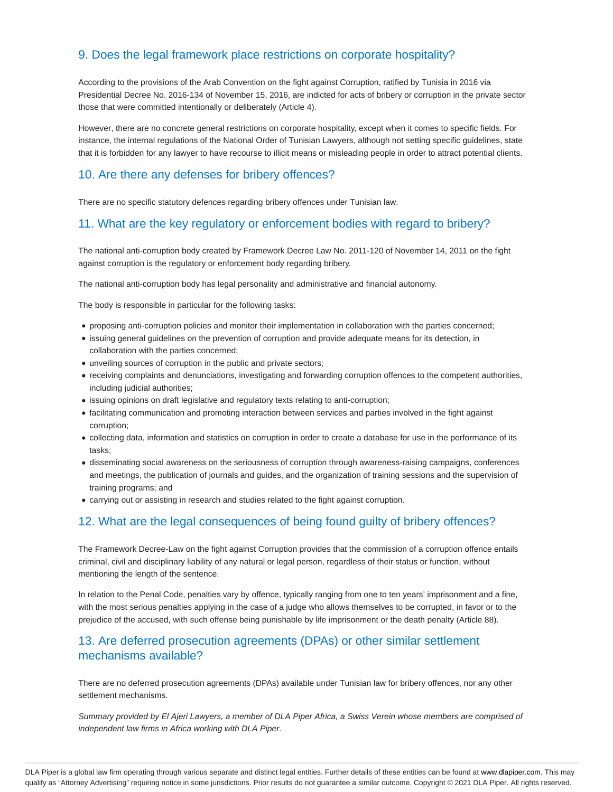#### 9. Does the legal framework place restrictions on corporate hospitality?

According to the provisions of the Arab Convention on the fight against Corruption, ratified by Tunisia in 2016 via Presidential Decree No. 2016-134 of November 15, 2016, are indicted for acts of bribery or corruption in the private sector those that were committed intentionally or deliberately (Article 4).

However, there are no concrete general restrictions on corporate hospitality, except when it comes to specific fields. For instance, the internal regulations of the National Order of Tunisian Lawyers, although not setting specific guidelines, state that it is forbidden for any lawyer to have recourse to illicit means or misleading people in order to attract potential clients.

#### 10. Are there any defenses for bribery offences?

There are no specific statutory defences regarding bribery offences under Tunisian law.

#### 11. What are the key regulatory or enforcement bodies with regard to bribery?

The national anti-corruption body created by Framework Decree Law No. 2011-120 of November 14, 2011 on the fight against corruption is the regulatory or enforcement body regarding bribery.

The national anti-corruption body has legal personality and administrative and financial autonomy.

The body is responsible in particular for the following tasks:

- proposing anti-corruption policies and monitor their implementation in collaboration with the parties concerned;
- issuing general guidelines on the prevention of corruption and provide adequate means for its detection, in collaboration with the parties concerned;
- unveiling sources of corruption in the public and private sectors;
- receiving complaints and denunciations, investigating and forwarding corruption offences to the competent authorities, including judicial authorities;
- issuing opinions on draft legislative and regulatory texts relating to anti-corruption;
- facilitating communication and promoting interaction between services and parties involved in the fight against corruption;
- collecting data, information and statistics on corruption in order to create a database for use in the performance of its tasks;
- disseminating social awareness on the seriousness of corruption through awareness-raising campaigns, conferences and meetings, the publication of journals and guides, and the organization of training sessions and the supervision of training programs; and
- carrying out or assisting in research and studies related to the fight against corruption.

#### 12. What are the legal consequences of being found guilty of bribery offences?

The Framework Decree-Law on the fight against Corruption provides that the commission of a corruption offence entails criminal, civil and disciplinary liability of any natural or legal person, regardless of their status or function, without mentioning the length of the sentence.

In relation to the Penal Code, penalties vary by offence, typically ranging from one to ten years' imprisonment and a fine, with the most serious penalties applying in the case of a judge who allows themselves to be corrupted, in favor or to the prejudice of the accused, with such offense being punishable by life imprisonment or the death penalty (Article 88).

#### 13. Are deferred prosecution agreements (DPAs) or other similar settlement mechanisms available?

There are no deferred prosecution agreements (DPAs) available under Tunisian law for bribery offences, nor any other settlement mechanisms.

Summary provided by El Ajeri Lawyers, a member of DLA Piper Africa, a Swiss Verein whose members are comprised of independent law firms in Africa working with DLA Piper.